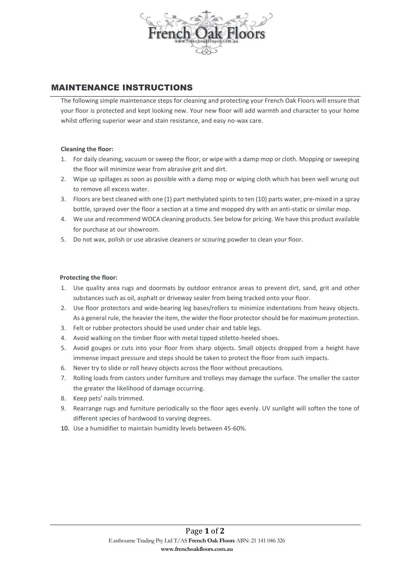

# MAINTENANCE INSTRUCTIONS

The following simple maintenance steps for cleaning and protecting your French Oak Floors will ensure that your floor is protected and kept looking new. Your new floor will add warmth and character to your home whilst offering superior wear and stain resistance, and easy no-wax care.

## **Cleaning the floor:**

- 1. For daily cleaning, vacuum or sweep the floor, or wipe with a damp mop or cloth. Mopping or sweeping the floor will minimize wear from abrasive grit and dirt.
- 2. Wipe up spillages as soon as possible with a damp mop or wiping cloth which has been well wrung out to remove all excess water.
- 3. Floors are best cleaned with one (1) part methylated spirits to ten (10) parts water, pre-mixed in a spray bottle, sprayed over the floor a section at a time and mopped dry with an anti-static or similar mop.
- 4. We use and recommend WOCA cleaning products. See below for pricing. We have this product available for purchase at our showroom.
- 5. Do not wax, polish or use abrasive cleaners or scouring powder to clean your floor.

## **Protecting the floor:**

- 1. Use quality area rugs and doormats by outdoor entrance areas to prevent dirt, sand, grit and other substances such as oil, asphalt or driveway sealer from being tracked onto your floor.
- 2. Use floor protectors and wide-bearing leg bases/rollers to minimize indentations from heavy objects. As a general rule, the heavier the item, the wider the floor protector should be for maximum protection.
- 3. Felt or rubber protectors should be used under chair and table legs.
- 4. Avoid walking on the timber floor with metal tipped stiletto-heeled shoes.
- 5. Avoid gouges or cuts into your floor from sharp objects. Small objects dropped from a height have immense impact pressure and steps should be taken to protect the floor from such impacts.
- 6. Never try to slide or roll heavy objects across the floor without precautions.
- 7. Rolling loads from castors under furniture and trolleys may damage the surface. The smaller the castor the greater the likelihood of damage occurring.
- 8. Keep pets' nails trimmed.
- 9. Rearrange rugs and furniture periodically so the floor ages evenly. UV sunlight will soften the tone of different species of hardwood to varying degrees.
- 10. Use a humidifier to maintain humidity levels between 45-60%.